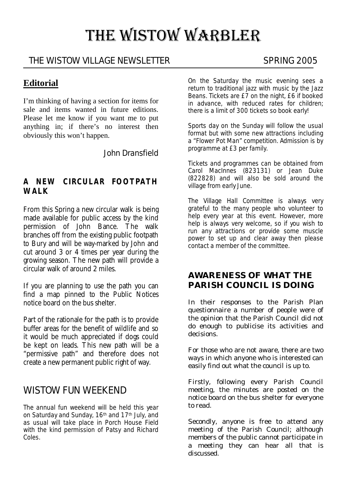# THE WISTOW WARBLER

# THE WISTOW VILLAGE NEWSLETTER SPRING 2005

### **Editorial**

I'm thinking of having a section for items for sale and items wanted in future editions. Please let me know if you want me to put anything in; if there's no interest then obviously this won't happen.

John Dransfield

#### **A NEW CIRCULAR FOOTPATH WALK**

From this Spring a new circular walk is being made available for public access by the kind permission of John Bance. The walk branches off from the existing public footpath to Bury and will be way-marked by John and cut around 3 or 4 times per year during the growing season. The new path will provide a circular walk of around 2 miles.

If you are planning to use the path you can find a map pinned to the Public Notices notice board on the bus shelter.

Part of the rationale for the path is to provide buffer areas for the benefit of wildlife and so it would be much appreciated if dogs could be kept on leads. This new path will be a "permissive path" and therefore does not create a new permanent public right of way.

# WISTOW FUN WEEKEND

The annual fun weekend will be held this year on Saturday and Sunday, 16<sup>th</sup> and 17<sup>th</sup> July, and as usual will take place in Porch House Field with the kind permission of Patsy and Richard Coles.

On the Saturday the music evening sees a return to traditional jazz with music by the Jazz Beans. Tickets are £7 on the night, £6 if booked in advance, with reduced rates for children; there is a limit of 300 tickets so book early!

Sports day on the Sunday will follow the usual format but with some new attractions including a "Flower Pot Man" competition. Admission is by programme at £3 per family.

Tickets and programmes can be obtained from Carol MacInnes (823131) or Jean Duke (822828) and will also be sold around the village from early June.

The Village Hall Committee is always very grateful to the many people who volunteer to help every year at this event. However, more help is always very welcome, so if you wish to run any attractions or provide some muscle power to set up and clear away then please contact a member of the committee.

#### **AWARENESS OF WHAT THE PARISH COUNCIL IS DOING**

In their responses to the Parish Plan questionnaire a number of people were of the opinion that the Parish Council did not do enough to publicise its activities and decisions.

For those who are not aware, there are two ways in which anyone who is interested can easily find out what the council is up to.

Firstly, following every Parish Council meeting, the minutes are posted on the notice board on the bus shelter for everyone to read.

Secondly, anyone is free to attend any meeting of the Parish Council; although members of the public cannot participate in a meeting they can hear all that is discussed.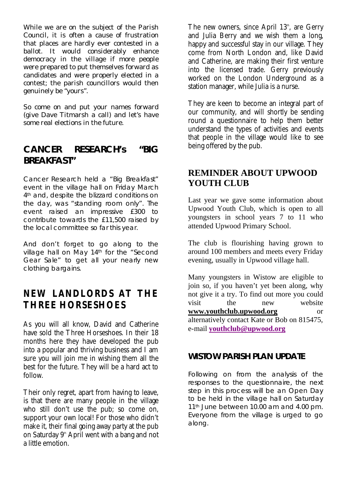While we are on the subject of the Parish Council, it is often a cause of frustration that places are hardly ever contested in a ballot. It would considerably enhance democracy in the village if more people were prepared to put themselves forward as candidates and were properly elected in a contest; the parish councillors would then genuinely be "yours".

So come on and put your names forward (give Dave Titmarsh a call) and let's have some real elections in the future.

# **CANCER RESEARCH's "BIG BREAKFAST"**

Cancer Research held a "Big Breakfast" event in the village hall on Friday March 4<sup>th</sup> and, despite the blizzard conditions on the day, was "standing room only". The event raised an impressive £300 to contribute towards the £11,500 raised by the local committee so far this year.

And don't forget to go along to the village hall on May 14th for the "Second Gear Sale" to get all your nearly new clothing bargains.

# **NEW LANDLORDS AT THE THREE HORSESHOES**

As you will all know, David and Catherine have sold the Three Horseshoes. In their 18 months here they have developed the pub into a popular and thriving business and I am sure you will join me in wishing them all the best for the future. They will be a hard act to follow.

Their only regret, apart from having to leave, is that there are many people in the village who still don't use the pub; so come on, support your own local! For those who didn't make it, their final going away party at the pub on Saturday  $9<sup>th</sup>$  April went with a bang and not a little emotion.

The new owners, since April  $13<sup>th</sup>$ , are Gerry and Julia Berry and we wish them a long, happy and successful stay in our village. They come from North London and, like David and Catherine, are making their first venture into the licensed trade. Gerry previously worked on the London Underground as a station manager, while Julia is a nurse.

They are keen to become an integral part of our community, and will shortly be sending round a questionnaire to help them better understand the types of activities and events that people in the village would like to see being offered by the pub.

# **REMINDER ABOUT UPWOOD YOUTH CLUB**

Last year we gave some information about Upwood Youth Club, which is open to all youngsters in school years 7 to 11 who attended Upwood Primary School.

The club is flourishing having grown to around 100 members and meets every Friday evening, usually in Upwood village hall.

Many youngsters in Wistow are eligible to join so, if you haven't yet been along, why not give it a try. To find out more you could visit the new website **www.youthclub.upwood.org** or alternatively contact Kate or Bob on 815475, e-mail **youthclub@upwood.org**

#### **WISTOW PARISH PLAN UPDATE**

Following on from the analysis of the responses to the questionnaire, the next step in this process will be an Open Day to be held in the village hall on Saturday 11<sup>th</sup> June between 10.00 am and 4.00 pm. Everyone from the village is urged to go along.